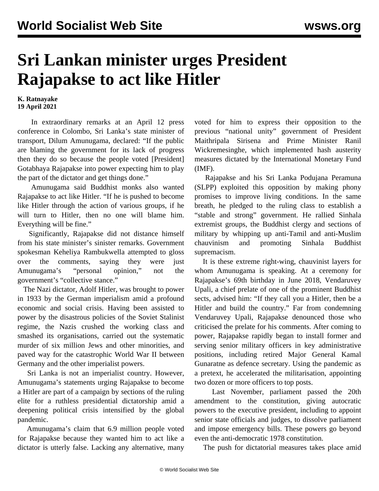## **Sri Lankan minister urges President Rajapakse to act like Hitler**

## **K. Ratnayake 19 April 2021**

 In extraordinary remarks at an April 12 press conference in Colombo, Sri Lanka's state minister of transport, Dilum Amunugama, declared: "If the public are blaming the government for its lack of progress then they do so because the people voted [President] Gotabhaya Rajapakse into power expecting him to play the part of the dictator and get things done."

 Amunugama said Buddhist monks also wanted Rajapakse to act like Hitler. "If he is pushed to become like Hitler through the action of various groups, if he will turn to Hitler, then no one will blame him. Everything will be fine."

 Significantly, Rajapakse did not distance himself from his state minister's sinister remarks. Government spokesman Keheliya Rambukwella attempted to gloss over the comments, saying they were just Amunugama's "personal opinion," not the government's "collective stance."

 The Nazi dictator, Adolf Hitler, was brought to power in 1933 by the German imperialism amid a profound economic and social crisis. Having been assisted to power by the disastrous policies of the Soviet Stalinist regime, the Nazis crushed the working class and smashed its organisations, carried out the systematic murder of six million Jews and other minorities, and paved way for the catastrophic World War II between Germany and the other imperialist powers.

 Sri Lanka is not an imperialist country. However, Amunugama's statements urging Rajapakse to become a Hitler are part of a campaign by sections of the ruling elite for a ruthless presidential dictatorship amid a deepening political crisis intensified by the global pandemic.

 Amunugama's claim that 6.9 million people voted for Rajapakse because they wanted him to act like a dictator is utterly false. Lacking any alternative, many voted for him to express their opposition to the previous "national unity" government of President Maithripala Sirisena and Prime Minister Ranil Wickremesinghe, which implemented hash austerity measures dictated by the International Monetary Fund (IMF).

 Rajapakse and his Sri Lanka Podujana Peramuna (SLPP) exploited this opposition by making phony promises to improve living conditions. In the same breath, he pledged to the ruling class to establish a "stable and strong" government. He rallied Sinhala extremist groups, the Buddhist clergy and sections of military by whipping up anti-Tamil and anti-Muslim chauvinism and promoting Sinhala Buddhist supremacism.

 It is these extreme right-wing, chauvinist layers for whom Amunugama is speaking. At a ceremony for Rajapakse's 69th birthday in June 2018, Vendaruvey Upali, a chief prelate of one of the prominent Buddhist sects, advised him: "If they call you a Hitler, then be a Hitler and build the country." Far from condemning Vendaruvey Upali, Rajapakse denounced those who criticised the prelate for his comments. After coming to power, Rajapakse rapidly began to install former and serving senior military officers in key administrative positions, including retired Major General Kamal Gunaratne as defence secretary. Using the pandemic as a pretext, he accelerated the militarisation, appointing two dozen or more officers to top posts.

 Last November, parliament passed the 20th amendment to the constitution, giving autocratic powers to the executive president, including to appoint senior state officials and judges, to dissolve parliament and impose emergency bills. These powers go beyond even the anti-democratic 1978 constitution.

The push for dictatorial measures takes place amid